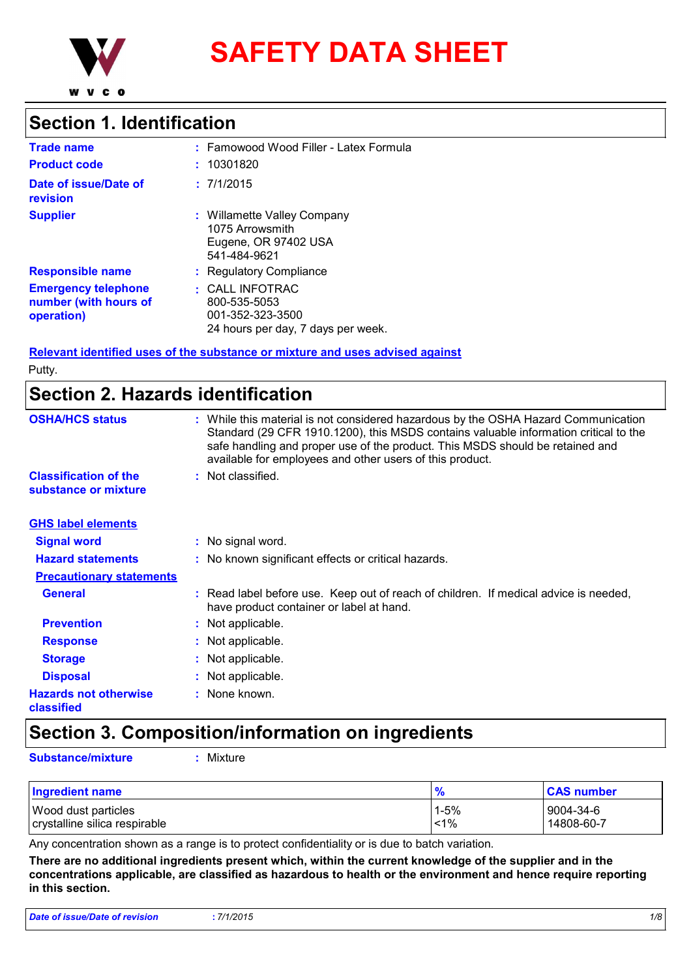

**SAFETY DATA SHEET**

### **Section 1. Identification**

| <b>Trade name</b>                                                 | : Famowood Wood Filler - Latex Formula                                                          |
|-------------------------------------------------------------------|-------------------------------------------------------------------------------------------------|
| <b>Product code</b>                                               | 10301820                                                                                        |
| Date of issue/Date of<br>revision                                 | : 7/1/2015                                                                                      |
| <b>Supplier</b>                                                   | Willamette Valley Company<br>1075 Arrowsmith<br>Eugene, OR 97402 USA<br>541-484-9621            |
| <b>Responsible name</b>                                           | <b>Regulatory Compliance</b>                                                                    |
| <b>Emergency telephone</b><br>number (with hours of<br>operation) | $\cdot$ CALL INFOTRAC<br>800-535-5053<br>001-352-323-3500<br>24 hours per day, 7 days per week. |

**Relevant identified uses of the substance or mixture and uses advised against**

Putty.

# **Section 2. Hazards identification**

| <b>OSHA/HCS status</b>                               | : While this material is not considered hazardous by the OSHA Hazard Communication<br>Standard (29 CFR 1910.1200), this MSDS contains valuable information critical to the<br>safe handling and proper use of the product. This MSDS should be retained and<br>available for employees and other users of this product. |
|------------------------------------------------------|-------------------------------------------------------------------------------------------------------------------------------------------------------------------------------------------------------------------------------------------------------------------------------------------------------------------------|
| <b>Classification of the</b><br>substance or mixture | : Not classified.                                                                                                                                                                                                                                                                                                       |
| <b>GHS label elements</b>                            |                                                                                                                                                                                                                                                                                                                         |
| <b>Signal word</b>                                   | : No signal word.                                                                                                                                                                                                                                                                                                       |
| <b>Hazard statements</b>                             | : No known significant effects or critical hazards.                                                                                                                                                                                                                                                                     |
| <b>Precautionary statements</b>                      |                                                                                                                                                                                                                                                                                                                         |
| <b>General</b>                                       | : Read label before use. Keep out of reach of children. If medical advice is needed,<br>have product container or label at hand.                                                                                                                                                                                        |
| <b>Prevention</b>                                    | : Not applicable.                                                                                                                                                                                                                                                                                                       |
| <b>Response</b>                                      | : Not applicable.                                                                                                                                                                                                                                                                                                       |
| <b>Storage</b>                                       | : Not applicable.                                                                                                                                                                                                                                                                                                       |
| <b>Disposal</b>                                      | : Not applicable.                                                                                                                                                                                                                                                                                                       |
| <b>Hazards not otherwise</b><br>classified           | : None known.                                                                                                                                                                                                                                                                                                           |

# **Section 3. Composition/information on ingredients**

**Substance/mixture :** Mixture

| <b>Ingredient name</b>        | $\frac{9}{6}$ | <b>CAS number</b> |
|-------------------------------|---------------|-------------------|
| <b>Wood dust particles</b>    | $1 - 5%$      | 9004-34-6         |
| crystalline silica respirable | 1%            | 14808-60-7        |

Any concentration shown as a range is to protect confidentiality or is due to batch variation.

**There are no additional ingredients present which, within the current knowledge of the supplier and in the concentrations applicable, are classified as hazardous to health or the environment and hence require reporting in this section.**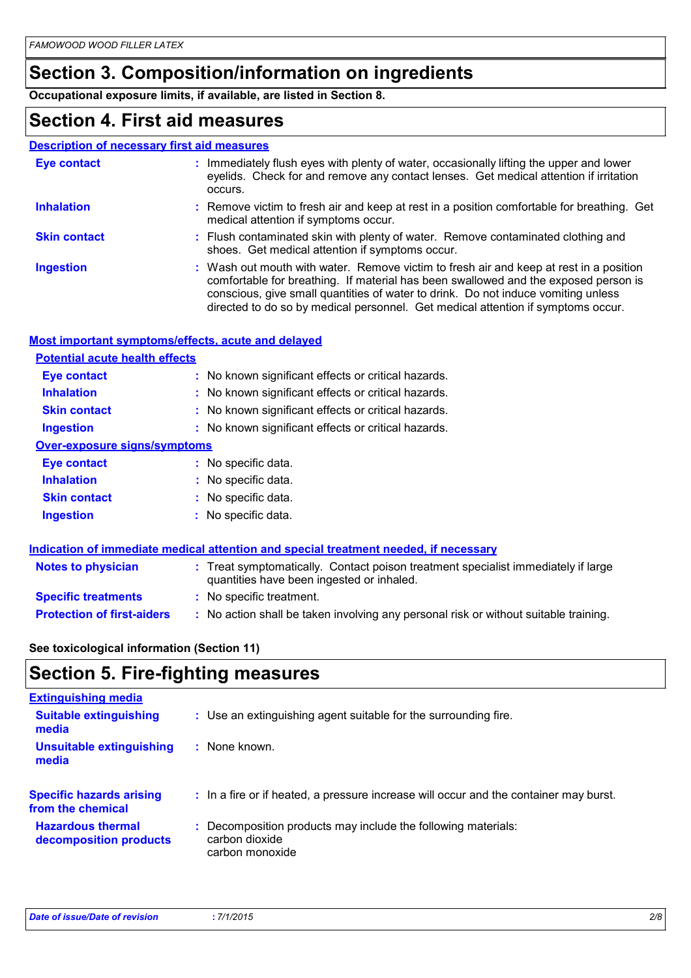# **Section 3. Composition/information on ingredients**

**Occupational exposure limits, if available, are listed in Section 8.**

### **Section 4. First aid measures**

|                                       | <b>Description of necessary first aid measures</b>                                                                                                                                                                                                                                                                                                     |
|---------------------------------------|--------------------------------------------------------------------------------------------------------------------------------------------------------------------------------------------------------------------------------------------------------------------------------------------------------------------------------------------------------|
| <b>Eye contact</b>                    | : Immediately flush eyes with plenty of water, occasionally lifting the upper and lower<br>eyelids. Check for and remove any contact lenses. Get medical attention if irritation<br>occurs.                                                                                                                                                            |
| <b>Inhalation</b>                     | : Remove victim to fresh air and keep at rest in a position comfortable for breathing. Get<br>medical attention if symptoms occur.                                                                                                                                                                                                                     |
| <b>Skin contact</b>                   | : Flush contaminated skin with plenty of water. Remove contaminated clothing and<br>shoes. Get medical attention if symptoms occur.                                                                                                                                                                                                                    |
| <b>Ingestion</b>                      | : Wash out mouth with water. Remove victim to fresh air and keep at rest in a position<br>comfortable for breathing. If material has been swallowed and the exposed person is<br>conscious, give small quantities of water to drink. Do not induce vomiting unless<br>directed to do so by medical personnel. Get medical attention if symptoms occur. |
|                                       | Most important symptoms/effects, acute and delayed                                                                                                                                                                                                                                                                                                     |
| <b>Potential acute health effects</b> |                                                                                                                                                                                                                                                                                                                                                        |
| Eye contact                           | : No known significant effects or critical hazards.                                                                                                                                                                                                                                                                                                    |
| <b>Inhalation</b>                     | : No known significant effects or critical hazards.                                                                                                                                                                                                                                                                                                    |
|                                       |                                                                                                                                                                                                                                                                                                                                                        |

- **Skin contact :** No known significant effects or critical hazards.
- **Ingestion :** No known significant effects or critical hazards.

| <b>Over-exposure signs/symptoms</b> |  |  |
|-------------------------------------|--|--|
|                                     |  |  |

| Eye contact         | : No specific data. |
|---------------------|---------------------|
| <b>Inhalation</b>   | : No specific data. |
| <b>Skin contact</b> | : No specific data. |
| <b>Ingestion</b>    | : No specific data. |

### **Indication of immediate medical attention and special treatment needed, if necessary**

| <b>Notes to physician</b>         | : Treat symptomatically. Contact poison treatment specialist immediately if large<br>quantities have been ingested or inhaled. |
|-----------------------------------|--------------------------------------------------------------------------------------------------------------------------------|
| <b>Specific treatments</b>        | : No specific treatment.                                                                                                       |
| <b>Protection of first-aiders</b> | No action shall be taken involving any personal risk or without suitable training.                                             |

### **See toxicological information (Section 11)**

# **Section 5. Fire-fighting measures**

| <b>Extinguishing media</b>                           |                                                                                       |
|------------------------------------------------------|---------------------------------------------------------------------------------------|
| <b>Suitable extinguishing</b><br>media               | : Use an extinguishing agent suitable for the surrounding fire.                       |
| <b>Unsuitable extinguishing</b><br>media             | : None known.                                                                         |
| <b>Specific hazards arising</b><br>from the chemical | : In a fire or if heated, a pressure increase will occur and the container may burst. |
| <b>Hazardous thermal</b><br>decomposition products   | : Decomposition products may include the following materials:<br>carbon dioxide       |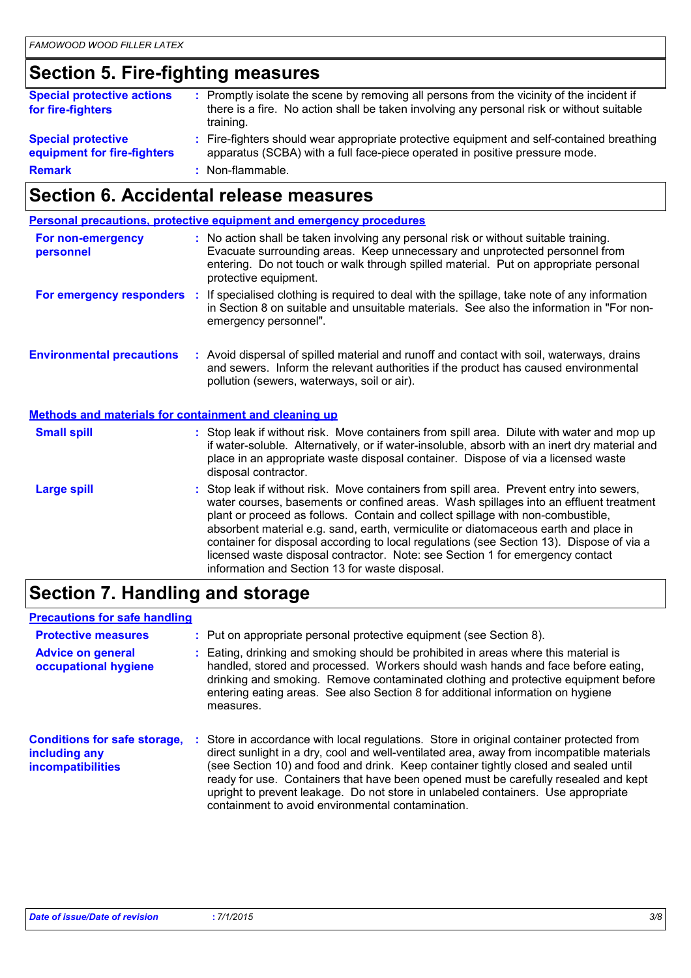# **Section 5. Fire-fighting measures**

| <b>Special protective actions</b><br>for fire-fighters   | : Promptly isolate the scene by removing all persons from the vicinity of the incident if<br>there is a fire. No action shall be taken involving any personal risk or without suitable<br>training. |
|----------------------------------------------------------|-----------------------------------------------------------------------------------------------------------------------------------------------------------------------------------------------------|
| <b>Special protective</b><br>equipment for fire-fighters | : Fire-fighters should wear appropriate protective equipment and self-contained breathing<br>apparatus (SCBA) with a full face-piece operated in positive pressure mode.                            |
| <b>Remark</b>                                            | : Non-flammable.                                                                                                                                                                                    |

# **Section 6. Accidental release measures**

|                                                              | Personal precautions, protective equipment and emergency procedures                                                                                                                                                                                                                                                                                                                                                                                                                                                                                                                      |
|--------------------------------------------------------------|------------------------------------------------------------------------------------------------------------------------------------------------------------------------------------------------------------------------------------------------------------------------------------------------------------------------------------------------------------------------------------------------------------------------------------------------------------------------------------------------------------------------------------------------------------------------------------------|
| For non-emergency<br>personnel                               | : No action shall be taken involving any personal risk or without suitable training.<br>Evacuate surrounding areas. Keep unnecessary and unprotected personnel from<br>entering. Do not touch or walk through spilled material. Put on appropriate personal<br>protective equipment.                                                                                                                                                                                                                                                                                                     |
| For emergency responders                                     | : If specialised clothing is required to deal with the spillage, take note of any information<br>in Section 8 on suitable and unsuitable materials. See also the information in "For non-<br>emergency personnel".                                                                                                                                                                                                                                                                                                                                                                       |
| <b>Environmental precautions</b>                             | : Avoid dispersal of spilled material and runoff and contact with soil, waterways, drains<br>and sewers. Inform the relevant authorities if the product has caused environmental<br>pollution (sewers, waterways, soil or air).                                                                                                                                                                                                                                                                                                                                                          |
| <b>Methods and materials for containment and cleaning up</b> |                                                                                                                                                                                                                                                                                                                                                                                                                                                                                                                                                                                          |
| <b>Small spill</b>                                           | : Stop leak if without risk. Move containers from spill area. Dilute with water and mop up<br>if water-soluble. Alternatively, or if water-insoluble, absorb with an inert dry material and<br>place in an appropriate waste disposal container. Dispose of via a licensed waste<br>disposal contractor.                                                                                                                                                                                                                                                                                 |
| <b>Large spill</b>                                           | Stop leak if without risk. Move containers from spill area. Prevent entry into sewers,<br>water courses, basements or confined areas. Wash spillages into an effluent treatment<br>plant or proceed as follows. Contain and collect spillage with non-combustible,<br>absorbent material e.g. sand, earth, vermiculite or diatomaceous earth and place in<br>container for disposal according to local regulations (see Section 13). Dispose of via a<br>licensed waste disposal contractor. Note: see Section 1 for emergency contact<br>information and Section 13 for waste disposal. |

# **Section 7. Handling and storage**

### **Precautions for safe handling**

| <b>Protective measures</b><br><b>Advice on general</b><br>occupational hygiene   | : Put on appropriate personal protective equipment (see Section 8).<br>Eating, drinking and smoking should be prohibited in areas where this material is<br>handled, stored and processed. Workers should wash hands and face before eating,<br>drinking and smoking. Remove contaminated clothing and protective equipment before<br>entering eating areas. See also Section 8 for additional information on hygiene<br>measures.                                                                          |
|----------------------------------------------------------------------------------|-------------------------------------------------------------------------------------------------------------------------------------------------------------------------------------------------------------------------------------------------------------------------------------------------------------------------------------------------------------------------------------------------------------------------------------------------------------------------------------------------------------|
| <b>Conditions for safe storage,</b><br>including any<br><i>incompatibilities</i> | Store in accordance with local regulations. Store in original container protected from<br>direct sunlight in a dry, cool and well-ventilated area, away from incompatible materials<br>(see Section 10) and food and drink. Keep container tightly closed and sealed until<br>ready for use. Containers that have been opened must be carefully resealed and kept<br>upright to prevent leakage. Do not store in unlabeled containers. Use appropriate<br>containment to avoid environmental contamination. |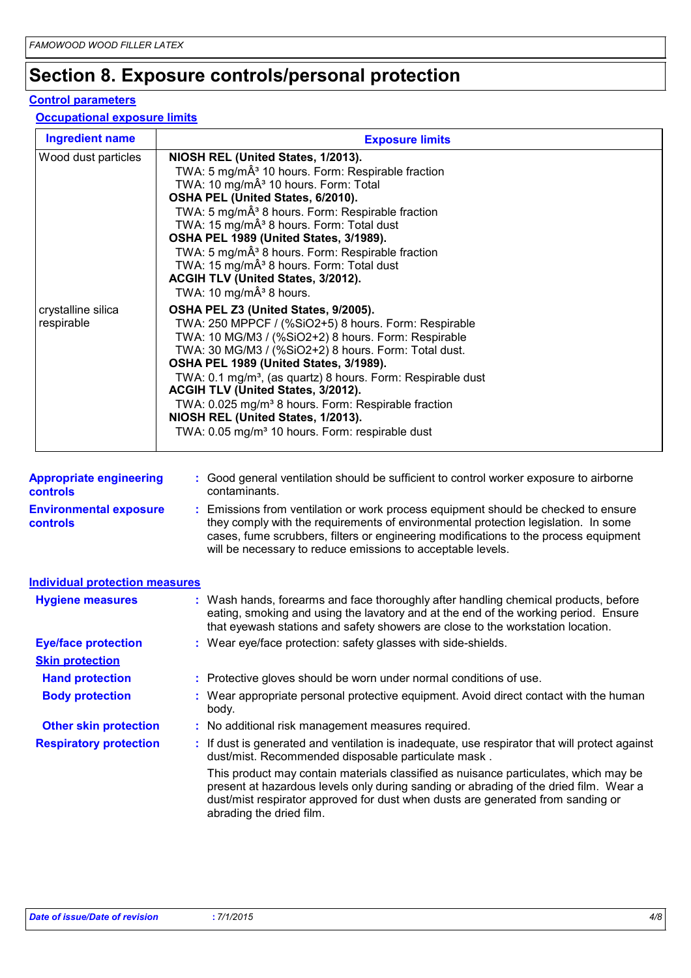# **Section 8. Exposure controls/personal protection**

### **Control parameters**

### **Occupational exposure limits**

| <b>Ingredient name</b>           | <b>Exposure limits</b>                                                                                                                                                                                                                                                                                                                                                                                                                                                                                                                                              |
|----------------------------------|---------------------------------------------------------------------------------------------------------------------------------------------------------------------------------------------------------------------------------------------------------------------------------------------------------------------------------------------------------------------------------------------------------------------------------------------------------------------------------------------------------------------------------------------------------------------|
| Wood dust particles              | NIOSH REL (United States, 1/2013).<br>TWA: 5 mg/mÂ <sup>3</sup> 10 hours. Form: Respirable fraction<br>TWA: 10 mg/mÂ <sup>3</sup> 10 hours. Form: Total<br>OSHA PEL (United States, 6/2010).<br>TWA: 5 mg/mÂ <sup>3</sup> 8 hours. Form: Respirable fraction<br>TWA: 15 mg/mÂ <sup>3</sup> 8 hours. Form: Total dust<br>OSHA PEL 1989 (United States, 3/1989).<br>TWA: 5 mg/mÂ <sup>3</sup> 8 hours. Form: Respirable fraction<br>TWA: 15 mg/mÂ <sup>3</sup> 8 hours. Form: Total dust<br>ACGIH TLV (United States, 3/2012).<br>TWA: 10 mg/mÂ <sup>3</sup> 8 hours. |
| crystalline silica<br>respirable | OSHA PEL Z3 (United States, 9/2005).<br>TWA: 250 MPPCF / (%SiO2+5) 8 hours. Form: Respirable<br>TWA: 10 MG/M3 / (%SiO2+2) 8 hours. Form: Respirable<br>TWA: 30 MG/M3 / (%SiO2+2) 8 hours. Form: Total dust.<br>OSHA PEL 1989 (United States, 3/1989).<br>TWA: 0.1 mg/m <sup>3</sup> , (as quartz) 8 hours. Form: Respirable dust<br>ACGIH TLV (United States, 3/2012).<br>TWA: 0.025 mg/m <sup>3</sup> 8 hours. Form: Respirable fraction<br>NIOSH REL (United States, 1/2013).<br>TWA: 0.05 mg/m <sup>3</sup> 10 hours. Form: respirable dust                      |

| <b>Appropriate engineering</b><br><b>controls</b> | : Good general ventilation should be sufficient to control worker exposure to airborne<br>contaminants.                                                                                                                                                                                                                         |
|---------------------------------------------------|---------------------------------------------------------------------------------------------------------------------------------------------------------------------------------------------------------------------------------------------------------------------------------------------------------------------------------|
| <b>Environmental exposure</b><br><b>controls</b>  | : Emissions from ventilation or work process equipment should be checked to ensure<br>they comply with the requirements of environmental protection legislation. In some<br>cases, fume scrubbers, filters or engineering modifications to the process equipment<br>will be necessary to reduce emissions to acceptable levels. |

| <b>Individual protection measures</b> |    |                                                                                                                                                                                                                                                                  |
|---------------------------------------|----|------------------------------------------------------------------------------------------------------------------------------------------------------------------------------------------------------------------------------------------------------------------|
| <b>Hygiene measures</b>               |    | : Wash hands, forearms and face thoroughly after handling chemical products, before<br>eating, smoking and using the lavatory and at the end of the working period. Ensure<br>that eyewash stations and safety showers are close to the workstation location.    |
| <b>Eye/face protection</b>            |    | : Wear eye/face protection: safety glasses with side-shields.                                                                                                                                                                                                    |
| <b>Skin protection</b>                |    |                                                                                                                                                                                                                                                                  |
| <b>Hand protection</b>                |    | : Protective gloves should be worn under normal conditions of use.                                                                                                                                                                                               |
| <b>Body protection</b>                |    | : Wear appropriate personal protective equipment. Avoid direct contact with the human<br>body.                                                                                                                                                                   |
| <b>Other skin protection</b>          |    | : No additional risk management measures required.                                                                                                                                                                                                               |
| <b>Respiratory protection</b>         | ÷. | If dust is generated and ventilation is inadequate, use respirator that will protect against<br>dust/mist. Recommended disposable particulate mask.                                                                                                              |
|                                       |    | This product may contain materials classified as nuisance particulates, which may be<br>present at hazardous levels only during sanding or abrading of the dried film. Wear a<br>dust/mist respirator approved for dust when dusts are generated from sanding or |

abrading the dried film.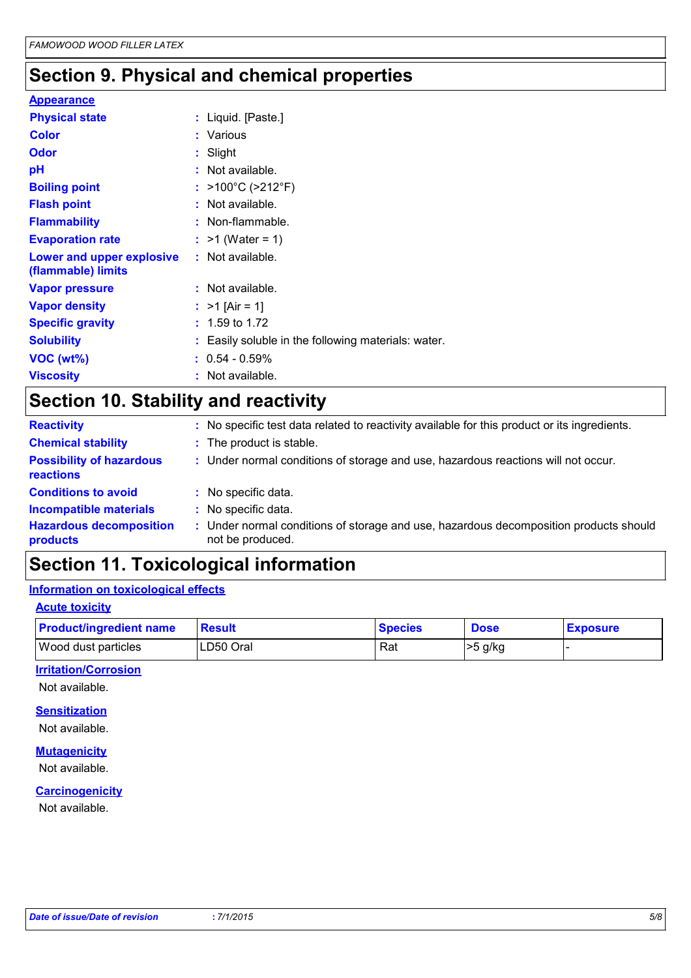# **Section 9. Physical and chemical properties**

| <b>Appearance</b>                               |                                                     |
|-------------------------------------------------|-----------------------------------------------------|
| <b>Physical state</b>                           | : Liquid. [Paste.]                                  |
| <b>Color</b>                                    | : Various                                           |
| <b>Odor</b>                                     | : Slight                                            |
| pH                                              | : Not available.                                    |
| <b>Boiling point</b>                            | : >100°C (>212°F)                                   |
| <b>Flash point</b>                              | : Not available.                                    |
| <b>Flammability</b>                             | : Non-flammable.                                    |
| <b>Evaporation rate</b>                         | : $>1$ (Water = 1)                                  |
| Lower and upper explosive<br>(flammable) limits | : Not available.                                    |
| <b>Vapor pressure</b>                           | : Not available.                                    |
| <b>Vapor density</b>                            | : $>1$ [Air = 1]                                    |
| <b>Specific gravity</b>                         | $: 1.59$ to 1.72                                    |
| <b>Solubility</b>                               | : Easily soluble in the following materials: water. |
| VOC (wt%)                                       | $: 0.54 - 0.59\%$                                   |
| <b>Viscosity</b>                                | : Not available.                                    |

# **Section 10. Stability and reactivity**

| <b>Reactivity</b>                                   | : No specific test data related to reactivity available for this product or its ingredients.              |
|-----------------------------------------------------|-----------------------------------------------------------------------------------------------------------|
| <b>Chemical stability</b>                           | : The product is stable.                                                                                  |
| <b>Possibility of hazardous</b><br><b>reactions</b> | : Under normal conditions of storage and use, hazardous reactions will not occur.                         |
| <b>Conditions to avoid</b>                          | : No specific data.                                                                                       |
| <b>Incompatible materials</b>                       | : No specific data.                                                                                       |
| <b>Hazardous decomposition</b><br>products          | : Under normal conditions of storage and use, hazardous decomposition products should<br>not be produced. |

# **Section 11. Toxicological information**

### **Information on toxicological effects**

### **Acute toxicity**

| <b>Product/ingredient name</b> | Result    | <b>Species</b> | <b>Dose</b> | <b>Exposure</b> |
|--------------------------------|-----------|----------------|-------------|-----------------|
| <b>Wood dust particles</b>     | LD50 Oral | Rat            | >5 g/kg     |                 |

### **Irritation/Corrosion**

Not available.

### **Sensitization**

Not available.

### **Mutagenicity**

Not available.

#### **Carcinogenicity**

Not available.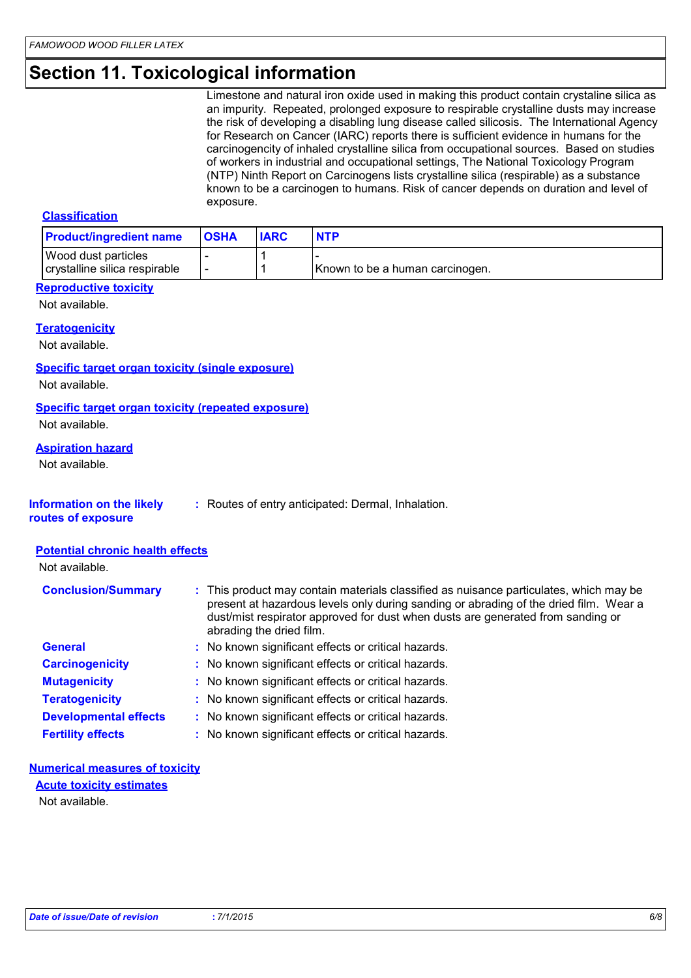# **Section 11. Toxicological information**

Limestone and natural iron oxide used in making this product contain crystaline silica as an impurity. Repeated, prolonged exposure to respirable crystalline dusts may increase the risk of developing a disabling lung disease called silicosis. The International Agency for Research on Cancer (IARC) reports there is sufficient evidence in humans for the carcinogencity of inhaled crystalline silica from occupational sources. Based on studies of workers in industrial and occupational settings, The National Toxicology Program (NTP) Ninth Report on Carcinogens lists crystalline silica (respirable) as a substance known to be a carcinogen to humans. Risk of cancer depends on duration and level of exposure.

#### **Classification**

| <b>Product/ingredient name</b>                       | <b>OSHA</b>              | <b>IARC</b> | <b>NTP</b>                      |
|------------------------------------------------------|--------------------------|-------------|---------------------------------|
| Wood dust particles<br>crystalline silica respirable | $\overline{\phantom{a}}$ |             | Known to be a human carcinogen. |

#### **Reproductive toxicity**

Not available.

### **Teratogenicity**

Not available.

#### **Specific target organ toxicity (single exposure)**

Not available.

### **Specific target organ toxicity (repeated exposure)**

Not available.

#### **Aspiration hazard**

Not available.

### **Information on the likely**

**:** Routes of entry anticipated: Dermal, Inhalation.

**routes of exposure**

#### **Potential chronic health effects**

| <b>Conclusion/Summary</b>    | : This product may contain materials classified as nuisance particulates, which may be<br>present at hazardous levels only during sanding or abrading of the dried film. Wear a<br>dust/mist respirator approved for dust when dusts are generated from sanding or<br>abrading the dried film. |
|------------------------------|------------------------------------------------------------------------------------------------------------------------------------------------------------------------------------------------------------------------------------------------------------------------------------------------|
| <b>General</b>               | : No known significant effects or critical hazards.                                                                                                                                                                                                                                            |
| <b>Carcinogenicity</b>       | : No known significant effects or critical hazards.                                                                                                                                                                                                                                            |
| <b>Mutagenicity</b>          | : No known significant effects or critical hazards.                                                                                                                                                                                                                                            |
| <b>Teratogenicity</b>        | : No known significant effects or critical hazards.                                                                                                                                                                                                                                            |
| <b>Developmental effects</b> | : No known significant effects or critical hazards.                                                                                                                                                                                                                                            |
| <b>Fertility effects</b>     | : No known significant effects or critical hazards.                                                                                                                                                                                                                                            |

#### **Numerical measures of toxicity Acute toxicity estimates**

Not available.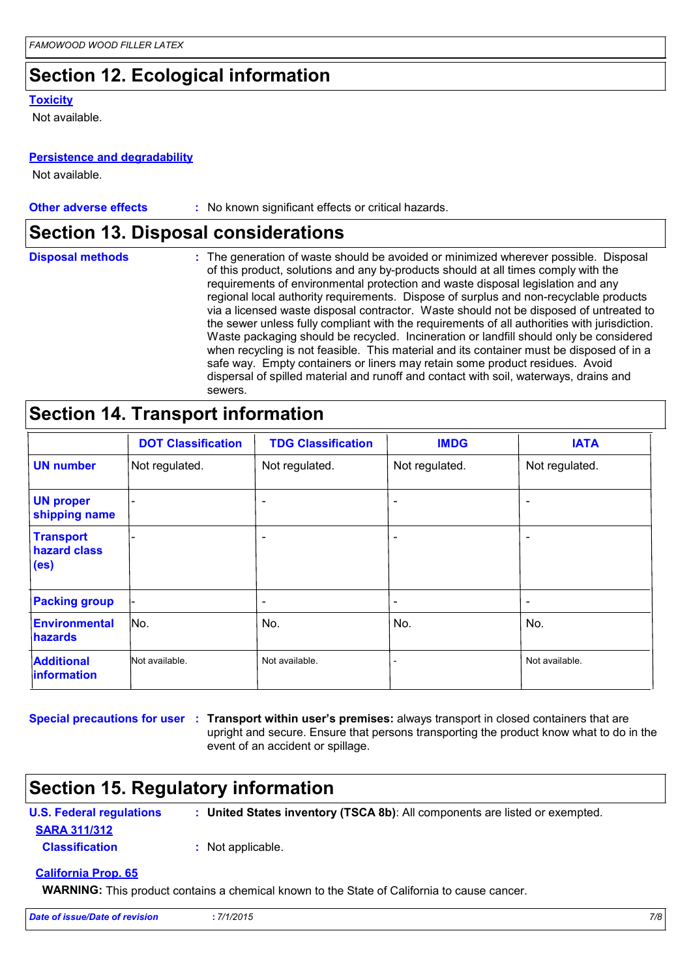# **Section 12. Ecological information**

#### **Toxicity**

Not available.

### **Persistence and degradability**

Not available.

| <b>Other adverse effects</b> | No known significant effects or critical hazards. |
|------------------------------|---------------------------------------------------|
|------------------------------|---------------------------------------------------|

### **Section 13. Disposal considerations**

| <b>Disposal methods</b> | : The generation of waste should be avoided or minimized wherever possible. Disposal<br>of this product, solutions and any by-products should at all times comply with the<br>requirements of environmental protection and waste disposal legislation and any<br>regional local authority requirements. Dispose of surplus and non-recyclable products<br>via a licensed waste disposal contractor. Waste should not be disposed of untreated to<br>the sewer unless fully compliant with the requirements of all authorities with jurisdiction.<br>Waste packaging should be recycled. Incineration or landfill should only be considered<br>when recycling is not feasible. This material and its container must be disposed of in a<br>safe way. Empty containers or liners may retain some product residues. Avoid<br>dispersal of spilled material and runoff and contact with soil, waterways, drains and |
|-------------------------|-----------------------------------------------------------------------------------------------------------------------------------------------------------------------------------------------------------------------------------------------------------------------------------------------------------------------------------------------------------------------------------------------------------------------------------------------------------------------------------------------------------------------------------------------------------------------------------------------------------------------------------------------------------------------------------------------------------------------------------------------------------------------------------------------------------------------------------------------------------------------------------------------------------------|
|                         | sewers.                                                                                                                                                                                                                                                                                                                                                                                                                                                                                                                                                                                                                                                                                                                                                                                                                                                                                                         |

### **Section 14. Transport information**

|                                                       | <b>DOT Classification</b> | <b>TDG Classification</b> | <b>IMDG</b>                  | <b>IATA</b>              |
|-------------------------------------------------------|---------------------------|---------------------------|------------------------------|--------------------------|
| <b>UN number</b>                                      | Not regulated.            | Not regulated.            | Not regulated.               | Not regulated.           |
| <b>UN proper</b><br>shipping name                     | -                         | $\overline{\phantom{a}}$  | $\overline{\phantom{a}}$     |                          |
| <b>Transport</b><br>hazard class<br>(e <sub>s</sub> ) |                           | $\overline{\phantom{a}}$  | $\overline{\phantom{a}}$     |                          |
| <b>Packing group</b>                                  | -                         | $\overline{\phantom{a}}$  | $\qquad \qquad \blacksquare$ | $\overline{\phantom{0}}$ |
| <b>Environmental</b><br><b>hazards</b>                | No.                       | No.                       | No.                          | No.                      |
| <b>Additional</b><br><b>Information</b>               | Not available.            | Not available.            |                              | Not available.           |

**Special precautions for user** : Transport within user's premises: always transport in closed containers that are upright and secure. Ensure that persons transporting the product know what to do in the event of an accident or spillage.

### **Section 15. Regulatory information**

**U.S. Federal regulations : United States inventory (TSCA 8b)**: All components are listed or exempted.

**SARA 311/312**

**Classification :** Not applicable.

### **California Prop. 65**

**WARNING:** This product contains a chemical known to the State of California to cause cancer.

| Date of issue/Date of revision | 7/1/2015 |  | 7/8 |
|--------------------------------|----------|--|-----|
|--------------------------------|----------|--|-----|